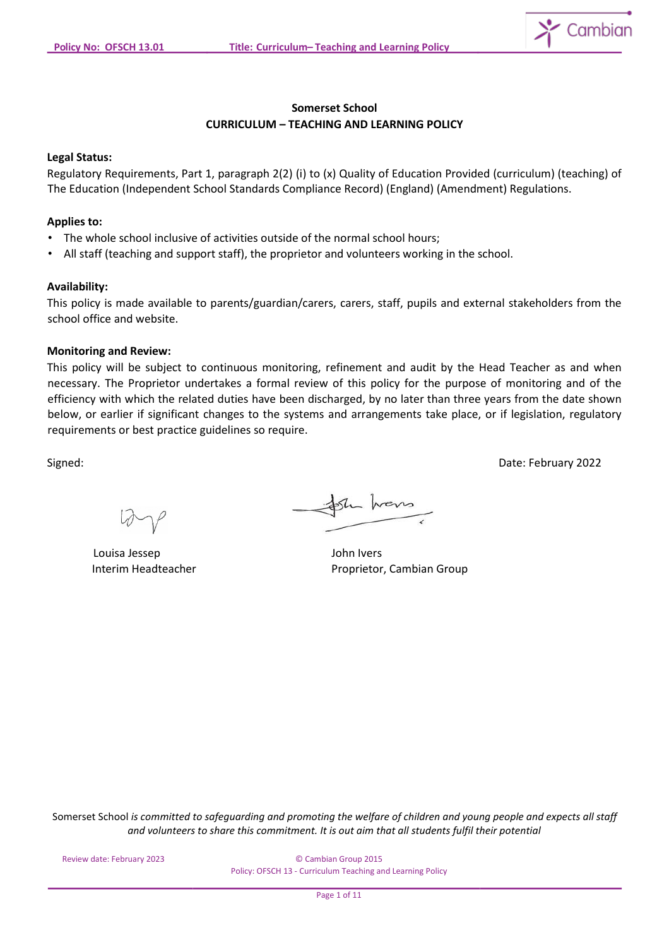

# **Somerset School CURRICULUM – TEACHING AND LEARNING POLICY**

#### **Legal Status:**

Regulatory Requirements, Part 1, paragraph 2(2) (i) to (x) Quality of Education Provided (curriculum) (teaching) of The Education (Independent School Standards Compliance Record) (England) (Amendment) Regulations.

### **Applies to:**

- The whole school inclusive of activities outside of the normal school hours;
- All staff (teaching and support staff), the proprietor and volunteers working in the school.

#### **Availability:**

This policy is made available to parents/guardian/carers, carers, staff, pupils and external stakeholders from the school office and website.

# **Monitoring and Review:**

This policy will be subject to continuous monitoring, refinement and audit by the Head Teacher as and when necessary. The Proprietor undertakes a formal review of this policy for the purpose of monitoring and of the efficiency with which the related duties have been discharged, by no later than three years from the date shown below, or earlier if significant changes to the systems and arrangements take place, or if legislation, regulatory requirements or best practice guidelines so require.

Signed: Date: February 2022

Louisa Jessep John Ivers

the hours

Interim Headteacher **Proprietor**, Cambian Group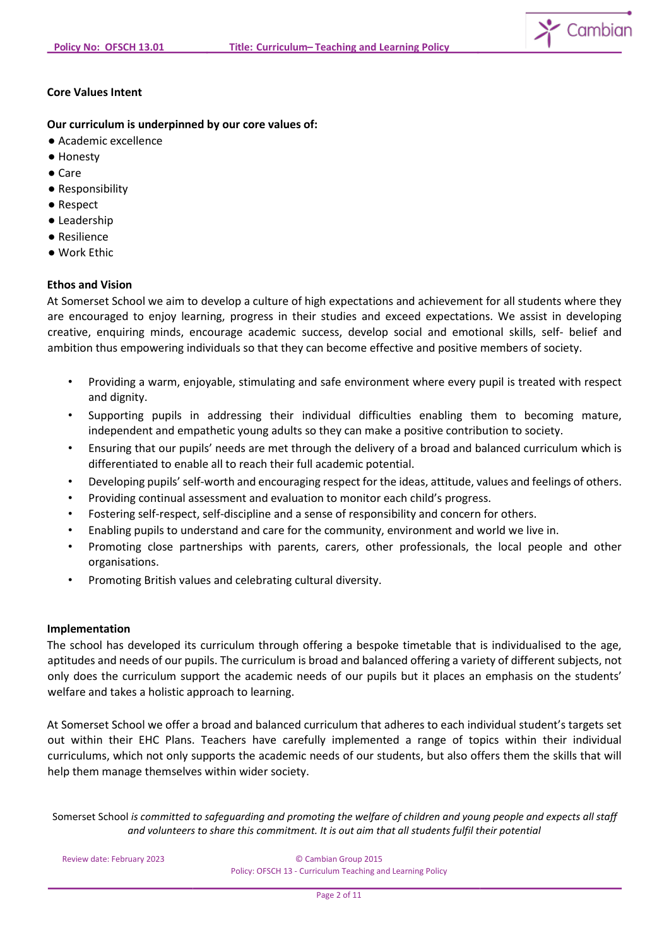

# **Core Values Intent**

**Our curriculum is underpinned by our core values of:** 

- Academic excellence
- Honesty
- Care
- Responsibility
- Respect
- Leadership
- Resilience
- Work Ethic

# **Ethos and Vision**

At Somerset School we aim to develop a culture of high expectations and achievement for all students where they are encouraged to enjoy learning, progress in their studies and exceed expectations. We assist in developing creative, enquiring minds, encourage academic success, develop social and emotional skills, self- belief and ambition thus empowering individuals so that they can become effective and positive members of society.

- Providing a warm, enjoyable, stimulating and safe environment where every pupil is treated with respect and dignity.
- Supporting pupils in addressing their individual difficulties enabling them to becoming mature, independent and empathetic young adults so they can make a positive contribution to society.
- Ensuring that our pupils' needs are met through the delivery of a broad and balanced curriculum which is differentiated to enable all to reach their full academic potential.
- Developing pupils' self-worth and encouraging respect for the ideas, attitude, values and feelings of others.
- Providing continual assessment and evaluation to monitor each child's progress.
- Fostering self-respect, self-discipline and a sense of responsibility and concern for others.
- Enabling pupils to understand and care for the community, environment and world we live in.
- Promoting close partnerships with parents, carers, other professionals, the local people and other organisations.
- Promoting British values and celebrating cultural diversity.

### **Implementation**

The school has developed its curriculum through offering a bespoke timetable that is individualised to the age, aptitudes and needs of our pupils. The curriculum is broad and balanced offering a variety of different subjects, not only does the curriculum support the academic needs of our pupils but it places an emphasis on the students' welfare and takes a holistic approach to learning.

At Somerset School we offer a broad and balanced curriculum that adheres to each individual student's targets set out within their EHC Plans. Teachers have carefully implemented a range of topics within their individual curriculums, which not only supports the academic needs of our students, but also offers them the skills that will help them manage themselves within wider society.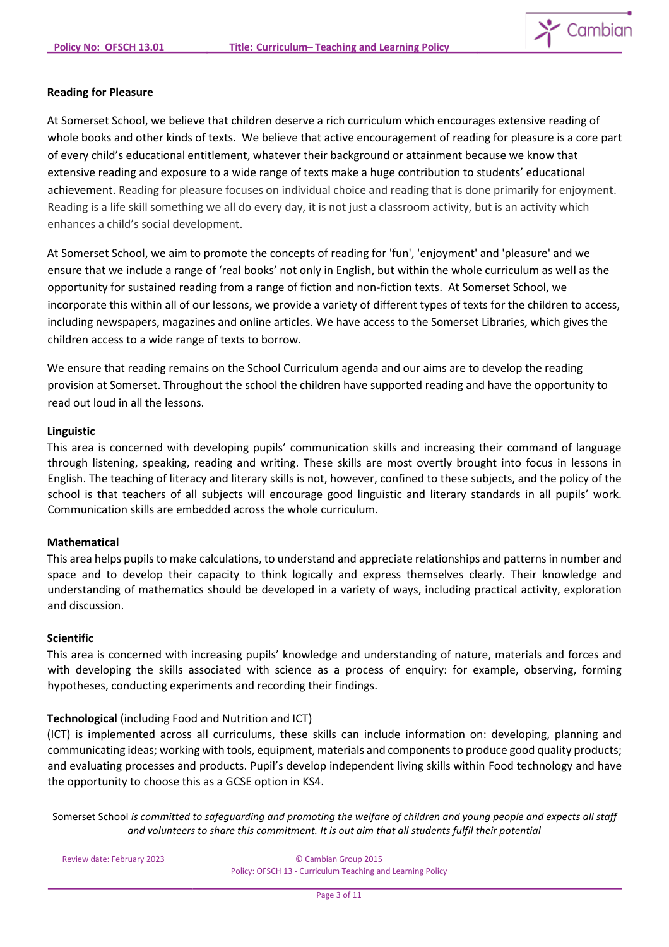

### **Reading for Pleasure**

At Somerset School, we believe that children deserve a rich curriculum which encourages extensive reading of whole books and other kinds of texts. We believe that active encouragement of reading for pleasure is a core part of every child's educational entitlement, whatever their background or attainment because we know that extensive reading and exposure to a wide range of texts make a huge contribution to students' educational achievement. Reading for pleasure focuses on individual choice and reading that is done primarily for enjoyment. Reading is a life skill something we all do every day, it is not just a classroom activity, but is an activity which enhances a child's social development.

At Somerset School, we aim to promote the concepts of reading for 'fun', 'enjoyment' and 'pleasure' and we ensure that we include a range of 'real books' not only in English, but within the whole curriculum as well as the opportunity for sustained reading from a range of fiction and non-fiction texts. At Somerset School, we incorporate this within all of our lessons, we provide a variety of different types of texts for the children to access, including newspapers, magazines and online articles. We have access to the Somerset Libraries, which gives the children access to a wide range of texts to borrow.

We ensure that reading remains on the School Curriculum agenda and our aims are to develop the reading provision at Somerset. Throughout the school the children have supported reading and have the opportunity to read out loud in all the lessons.

### **Linguistic**

This area is concerned with developing pupils' communication skills and increasing their command of language through listening, speaking, reading and writing. These skills are most overtly brought into focus in lessons in English. The teaching of literacy and literary skills is not, however, confined to these subjects, and the policy of the school is that teachers of all subjects will encourage good linguistic and literary standards in all pupils' work. Communication skills are embedded across the whole curriculum.

### **Mathematical**

This area helps pupils to make calculations, to understand and appreciate relationships and patterns in number and space and to develop their capacity to think logically and express themselves clearly. Their knowledge and understanding of mathematics should be developed in a variety of ways, including practical activity, exploration and discussion.

#### **Scientific**

This area is concerned with increasing pupils' knowledge and understanding of nature, materials and forces and with developing the skills associated with science as a process of enquiry: for example, observing, forming hypotheses, conducting experiments and recording their findings.

### **Technological** (including Food and Nutrition and ICT)

(ICT) is implemented across all curriculums, these skills can include information on: developing, planning and communicating ideas; working with tools, equipment, materials and components to produce good quality products; and evaluating processes and products. Pupil's develop independent living skills within Food technology and have the opportunity to choose this as a GCSE option in KS4.

Somerset School *is committed to safeguarding and promoting the welfare of children and young people and expects all staff and volunteers to share this commitment. It is out aim that all students fulfil their potential*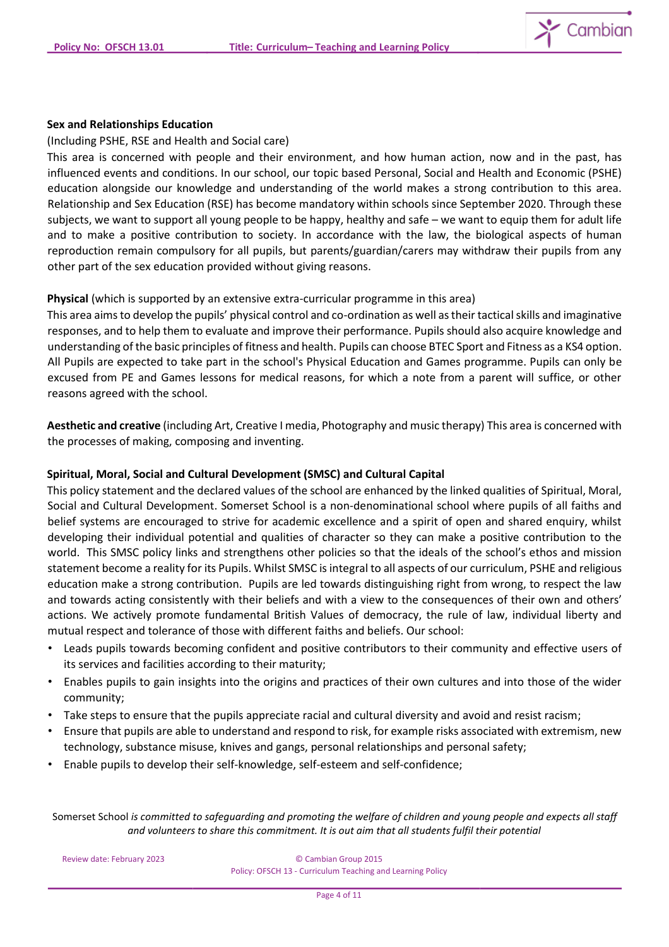

### **Sex and Relationships Education**

(Including PSHE, RSE and Health and Social care)

This area is concerned with people and their environment, and how human action, now and in the past, has influenced events and conditions. In our school, our topic based Personal, Social and Health and Economic (PSHE) education alongside our knowledge and understanding of the world makes a strong contribution to this area. Relationship and Sex Education (RSE) has become mandatory within schools since September 2020. Through these subjects, we want to support all young people to be happy, healthy and safe – we want to equip them for adult life and to make a positive contribution to society. In accordance with the law, the biological aspects of human reproduction remain compulsory for all pupils, but parents/guardian/carers may withdraw their pupils from any other part of the sex education provided without giving reasons.

### **Physical** (which is supported by an extensive extra-curricular programme in this area)

This area aims to develop the pupils' physical control and co-ordination as well as their tactical skills and imaginative responses, and to help them to evaluate and improve their performance. Pupils should also acquire knowledge and understanding of the basic principles of fitness and health. Pupils can choose BTEC Sport and Fitness as a KS4 option. All Pupils are expected to take part in the school's Physical Education and Games programme. Pupils can only be excused from PE and Games lessons for medical reasons, for which a note from a parent will suffice, or other reasons agreed with the school.

**Aesthetic and creative** (including Art, Creative I media, Photography and music therapy) This area is concerned with the processes of making, composing and inventing.

# **Spiritual, Moral, Social and Cultural Development (SMSC) and Cultural Capital**

This policy statement and the declared values of the school are enhanced by the linked qualities of Spiritual, Moral, Social and Cultural Development. Somerset School is a non-denominational school where pupils of all faiths and belief systems are encouraged to strive for academic excellence and a spirit of open and shared enquiry, whilst developing their individual potential and qualities of character so they can make a positive contribution to the world. This SMSC policy links and strengthens other policies so that the ideals of the school's ethos and mission statement become a reality for its Pupils. Whilst SMSC is integral to all aspects of our curriculum, PSHE and religious education make a strong contribution. Pupils are led towards distinguishing right from wrong, to respect the law and towards acting consistently with their beliefs and with a view to the consequences of their own and others' actions. We actively promote fundamental British Values of democracy, the rule of law, individual liberty and mutual respect and tolerance of those with different faiths and beliefs. Our school:

- Leads pupils towards becoming confident and positive contributors to their community and effective users of its services and facilities according to their maturity;
- Enables pupils to gain insights into the origins and practices of their own cultures and into those of the wider community;
- Take steps to ensure that the pupils appreciate racial and cultural diversity and avoid and resist racism;
- Ensure that pupils are able to understand and respond to risk, for example risks associated with extremism, new technology, substance misuse, knives and gangs, personal relationships and personal safety;
- Enable pupils to develop their self-knowledge, self-esteem and self-confidence;

Somerset School *is committed to safeguarding and promoting the welfare of children and young people and expects all staff and volunteers to share this commitment. It is out aim that all students fulfil their potential*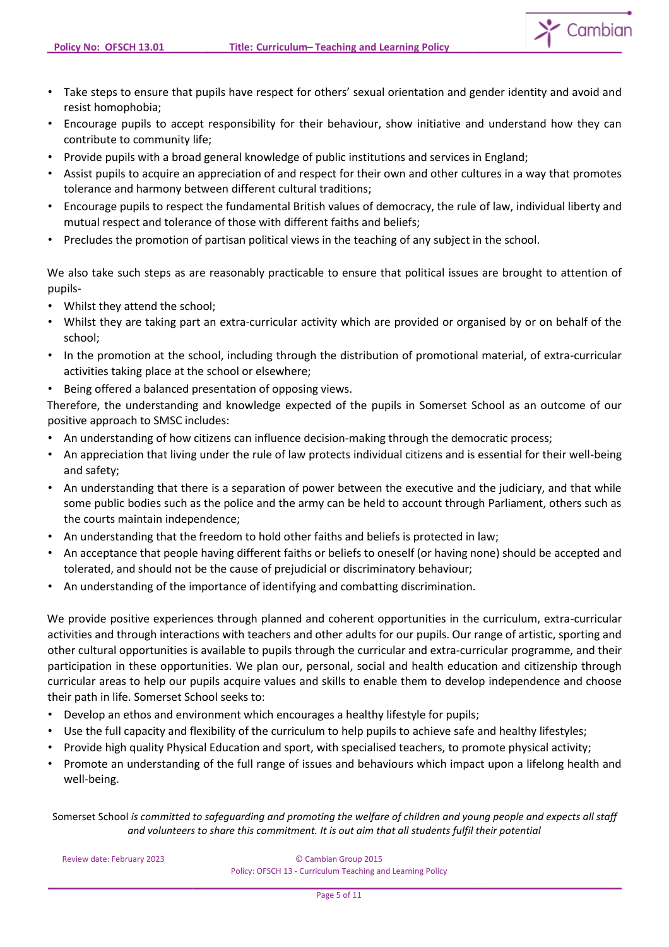$\sum$  Cambian

- Take steps to ensure that pupils have respect for others' sexual orientation and gender identity and avoid and resist homophobia;
- Encourage pupils to accept responsibility for their behaviour, show initiative and understand how they can contribute to community life;
- Provide pupils with a broad general knowledge of public institutions and services in England;
- Assist pupils to acquire an appreciation of and respect for their own and other cultures in a way that promotes tolerance and harmony between different cultural traditions;
- Encourage pupils to respect the fundamental British values of democracy, the rule of law, individual liberty and mutual respect and tolerance of those with different faiths and beliefs;
- Precludes the promotion of partisan political views in the teaching of any subject in the school.

We also take such steps as are reasonably practicable to ensure that political issues are brought to attention of pupils-

- Whilst they attend the school;
- Whilst they are taking part an extra-curricular activity which are provided or organised by or on behalf of the school;
- In the promotion at the school, including through the distribution of promotional material, of extra-curricular activities taking place at the school or elsewhere;
- Being offered a balanced presentation of opposing views.

Therefore, the understanding and knowledge expected of the pupils in Somerset School as an outcome of our positive approach to SMSC includes:

- An understanding of how citizens can influence decision-making through the democratic process;
- An appreciation that living under the rule of law protects individual citizens and is essential for their well-being and safety;
- An understanding that there is a separation of power between the executive and the judiciary, and that while some public bodies such as the police and the army can be held to account through Parliament, others such as the courts maintain independence;
- An understanding that the freedom to hold other faiths and beliefs is protected in law;
- An acceptance that people having different faiths or beliefs to oneself (or having none) should be accepted and tolerated, and should not be the cause of prejudicial or discriminatory behaviour;
- An understanding of the importance of identifying and combatting discrimination.

We provide positive experiences through planned and coherent opportunities in the curriculum, extra-curricular activities and through interactions with teachers and other adults for our pupils. Our range of artistic, sporting and other cultural opportunities is available to pupils through the curricular and extra-curricular programme, and their participation in these opportunities. We plan our, personal, social and health education and citizenship through curricular areas to help our pupils acquire values and skills to enable them to develop independence and choose their path in life. Somerset School seeks to:

- Develop an ethos and environment which encourages a healthy lifestyle for pupils;
- Use the full capacity and flexibility of the curriculum to help pupils to achieve safe and healthy lifestyles;
- Provide high quality Physical Education and sport, with specialised teachers, to promote physical activity;
- Promote an understanding of the full range of issues and behaviours which impact upon a lifelong health and well-being.

Somerset School *is committed to safeguarding and promoting the welfare of children and young people and expects all staff and volunteers to share this commitment. It is out aim that all students fulfil their potential*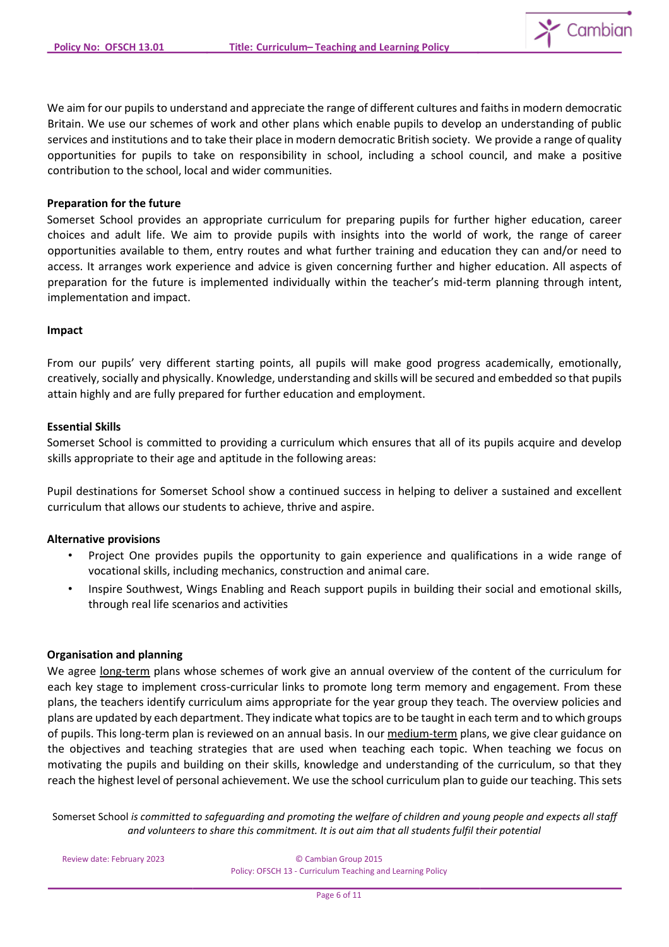

We aim for our pupils to understand and appreciate the range of different cultures and faiths in modern democratic Britain. We use our schemes of work and other plans which enable pupils to develop an understanding of public services and institutions and to take their place in modern democratic British society. We provide a range of quality opportunities for pupils to take on responsibility in school, including a school council, and make a positive contribution to the school, local and wider communities.

### **Preparation for the future**

Somerset School provides an appropriate curriculum for preparing pupils for further higher education, career choices and adult life. We aim to provide pupils with insights into the world of work, the range of career opportunities available to them, entry routes and what further training and education they can and/or need to access. It arranges work experience and advice is given concerning further and higher education. All aspects of preparation for the future is implemented individually within the teacher's mid-term planning through intent, implementation and impact.

### **Impact**

From our pupils' very different starting points, all pupils will make good progress academically, emotionally, creatively, socially and physically. Knowledge, understanding and skills will be secured and embedded so that pupils attain highly and are fully prepared for further education and employment.

# **Essential Skills**

Somerset School is committed to providing a curriculum which ensures that all of its pupils acquire and develop skills appropriate to their age and aptitude in the following areas:

Pupil destinations for Somerset School show a continued success in helping to deliver a sustained and excellent curriculum that allows our students to achieve, thrive and aspire.

### **Alternative provisions**

- Project One provides pupils the opportunity to gain experience and qualifications in a wide range of vocational skills, including mechanics, construction and animal care.
- Inspire Southwest, Wings Enabling and Reach support pupils in building their social and emotional skills, through real life scenarios and activities

### **Organisation and planning**

We agree long-term plans whose schemes of work give an annual overview of the content of the curriculum for each key stage to implement cross-curricular links to promote long term memory and engagement. From these plans, the teachers identify curriculum aims appropriate for the year group they teach. The overview policies and plans are updated by each department. They indicate what topics are to be taught in each term and to which groups of pupils. This long-term plan is reviewed on an annual basis. In our medium-term plans, we give clear guidance on the objectives and teaching strategies that are used when teaching each topic. When teaching we focus on motivating the pupils and building on their skills, knowledge and understanding of the curriculum, so that they reach the highest level of personal achievement. We use the school curriculum plan to guide our teaching. This sets

Somerset School *is committed to safeguarding and promoting the welfare of children and young people and expects all staff and volunteers to share this commitment. It is out aim that all students fulfil their potential*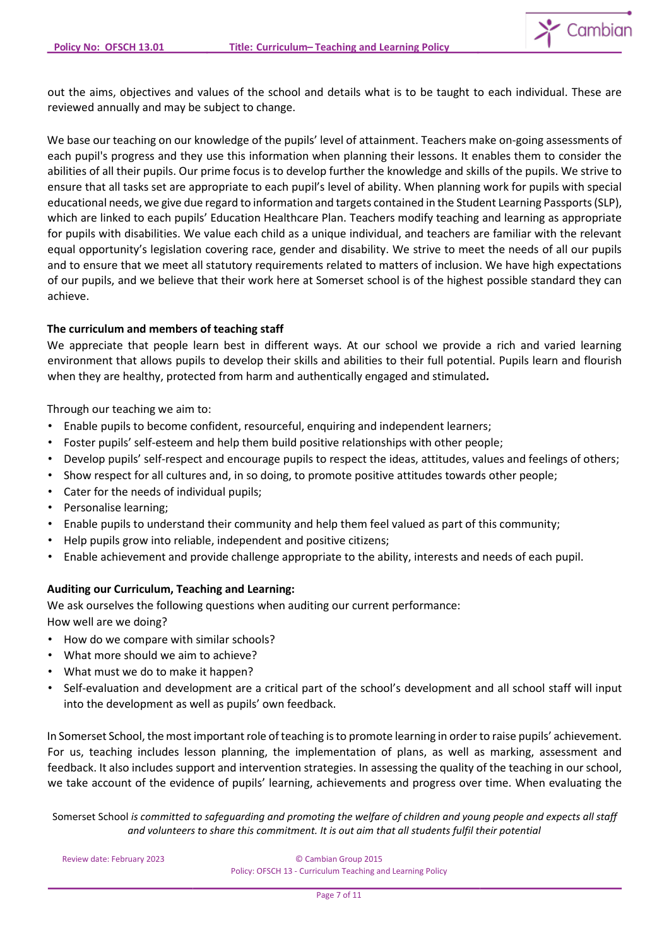

out the aims, objectives and values of the school and details what is to be taught to each individual. These are reviewed annually and may be subject to change.

We base our teaching on our knowledge of the pupils' level of attainment. Teachers make on-going assessments of each pupil's progress and they use this information when planning their lessons. It enables them to consider the abilities of all their pupils. Our prime focus is to develop further the knowledge and skills of the pupils. We strive to ensure that all tasks set are appropriate to each pupil's level of ability. When planning work for pupils with special educational needs, we give due regard to information and targets contained in the Student Learning Passports(SLP), which are linked to each pupils' Education Healthcare Plan. Teachers modify teaching and learning as appropriate for pupils with disabilities. We value each child as a unique individual, and teachers are familiar with the relevant equal opportunity's legislation covering race, gender and disability. We strive to meet the needs of all our pupils and to ensure that we meet all statutory requirements related to matters of inclusion. We have high expectations of our pupils, and we believe that their work here at Somerset school is of the highest possible standard they can achieve.

# **The curriculum and members of teaching staff**

We appreciate that people learn best in different ways. At our school we provide a rich and varied learning environment that allows pupils to develop their skills and abilities to their full potential. Pupils learn and flourish when they are healthy, protected from harm and authentically engaged and stimulated*.*

Through our teaching we aim to:

- Enable pupils to become confident, resourceful, enquiring and independent learners;
- Foster pupils' self-esteem and help them build positive relationships with other people;
- Develop pupils' self-respect and encourage pupils to respect the ideas, attitudes, values and feelings of others;
- Show respect for all cultures and, in so doing, to promote positive attitudes towards other people;
- Cater for the needs of individual pupils;
- Personalise learning;
- Enable pupils to understand their community and help them feel valued as part of this community;
- Help pupils grow into reliable, independent and positive citizens;
- Enable achievement and provide challenge appropriate to the ability, interests and needs of each pupil.

### **Auditing our Curriculum, Teaching and Learning:**

We ask ourselves the following questions when auditing our current performance: How well are we doing?

- How do we compare with similar schools?
- What more should we aim to achieve?
- What must we do to make it happen?
- Self-evaluation and development are a critical part of the school's development and all school staff will input into the development as well as pupils' own feedback.

In Somerset School, the most important role of teaching is to promote learning in order to raise pupils' achievement. For us, teaching includes lesson planning, the implementation of plans, as well as marking, assessment and feedback. It also includes support and intervention strategies. In assessing the quality of the teaching in our school, we take account of the evidence of pupils' learning, achievements and progress over time. When evaluating the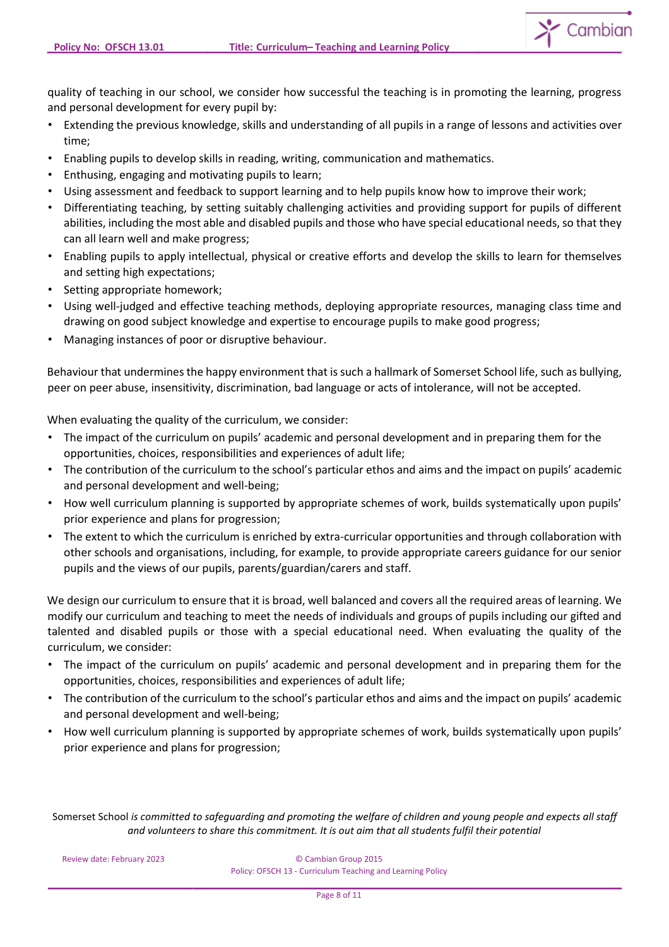

quality of teaching in our school, we consider how successful the teaching is in promoting the learning, progress and personal development for every pupil by:

- Extending the previous knowledge, skills and understanding of all pupils in a range of lessons and activities over time;
- Enabling pupils to develop skills in reading, writing, communication and mathematics.
- Enthusing, engaging and motivating pupils to learn;
- Using assessment and feedback to support learning and to help pupils know how to improve their work;
- Differentiating teaching, by setting suitably challenging activities and providing support for pupils of different abilities, including the most able and disabled pupils and those who have special educational needs, so that they can all learn well and make progress;
- Enabling pupils to apply intellectual, physical or creative efforts and develop the skills to learn for themselves and setting high expectations;
- Setting appropriate homework;
- Using well-judged and effective teaching methods, deploying appropriate resources, managing class time and drawing on good subject knowledge and expertise to encourage pupils to make good progress;
- Managing instances of poor or disruptive behaviour.

Behaviour that undermines the happy environment that is such a hallmark of Somerset School life, such as bullying, peer on peer abuse, insensitivity, discrimination, bad language or acts of intolerance, will not be accepted.

When evaluating the quality of the curriculum, we consider:

- The impact of the curriculum on pupils' academic and personal development and in preparing them for the opportunities, choices, responsibilities and experiences of adult life;
- The contribution of the curriculum to the school's particular ethos and aims and the impact on pupils' academic and personal development and well-being;
- How well curriculum planning is supported by appropriate schemes of work, builds systematically upon pupils' prior experience and plans for progression;
- The extent to which the curriculum is enriched by extra-curricular opportunities and through collaboration with other schools and organisations, including, for example, to provide appropriate careers guidance for our senior pupils and the views of our pupils, parents/guardian/carers and staff.

We design our curriculum to ensure that it is broad, well balanced and covers all the required areas of learning. We modify our curriculum and teaching to meet the needs of individuals and groups of pupils including our gifted and talented and disabled pupils or those with a special educational need. When evaluating the quality of the curriculum, we consider:

- The impact of the curriculum on pupils' academic and personal development and in preparing them for the opportunities, choices, responsibilities and experiences of adult life;
- The contribution of the curriculum to the school's particular ethos and aims and the impact on pupils' academic and personal development and well-being;
- How well curriculum planning is supported by appropriate schemes of work, builds systematically upon pupils' prior experience and plans for progression;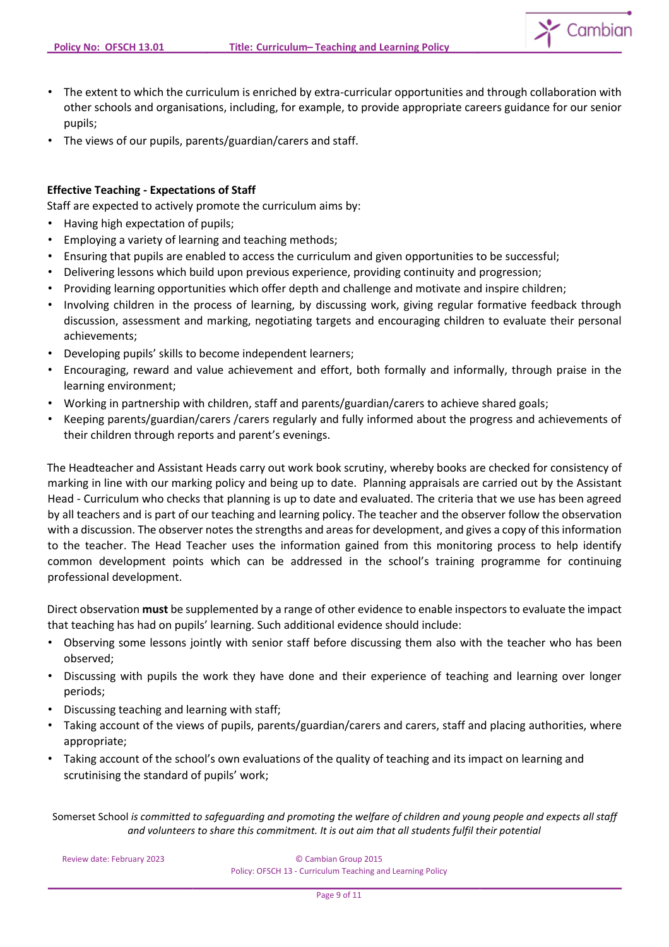

- The extent to which the curriculum is enriched by extra-curricular opportunities and through collaboration with other schools and organisations, including, for example, to provide appropriate careers guidance for our senior pupils;
- The views of our pupils, parents/guardian/carers and staff.

# **Effective Teaching - Expectations of Staff**

Staff are expected to actively promote the curriculum aims by:

- Having high expectation of pupils;
- Employing a variety of learning and teaching methods;
- Ensuring that pupils are enabled to access the curriculum and given opportunities to be successful;
- Delivering lessons which build upon previous experience, providing continuity and progression;
- Providing learning opportunities which offer depth and challenge and motivate and inspire children;
- Involving children in the process of learning, by discussing work, giving regular formative feedback through discussion, assessment and marking, negotiating targets and encouraging children to evaluate their personal achievements;
- Developing pupils' skills to become independent learners;
- Encouraging, reward and value achievement and effort, both formally and informally, through praise in the learning environment;
- Working in partnership with children, staff and parents/guardian/carers to achieve shared goals;
- Keeping parents/guardian/carers /carers regularly and fully informed about the progress and achievements of their children through reports and parent's evenings.

The Headteacher and Assistant Heads carry out work book scrutiny, whereby books are checked for consistency of marking in line with our marking policy and being up to date. Planning appraisals are carried out by the Assistant Head - Curriculum who checks that planning is up to date and evaluated. The criteria that we use has been agreed by all teachers and is part of our teaching and learning policy. The teacher and the observer follow the observation with a discussion. The observer notes the strengths and areas for development, and gives a copy of this information to the teacher. The Head Teacher uses the information gained from this monitoring process to help identify common development points which can be addressed in the school's training programme for continuing professional development.

Direct observation **must** be supplemented by a range of other evidence to enable inspectors to evaluate the impact that teaching has had on pupils' learning. Such additional evidence should include:

- Observing some lessons jointly with senior staff before discussing them also with the teacher who has been observed;
- Discussing with pupils the work they have done and their experience of teaching and learning over longer periods;
- Discussing teaching and learning with staff;
- Taking account of the views of pupils, parents/guardian/carers and carers, staff and placing authorities, where appropriate;
- Taking account of the school's own evaluations of the quality of teaching and its impact on learning and scrutinising the standard of pupils' work;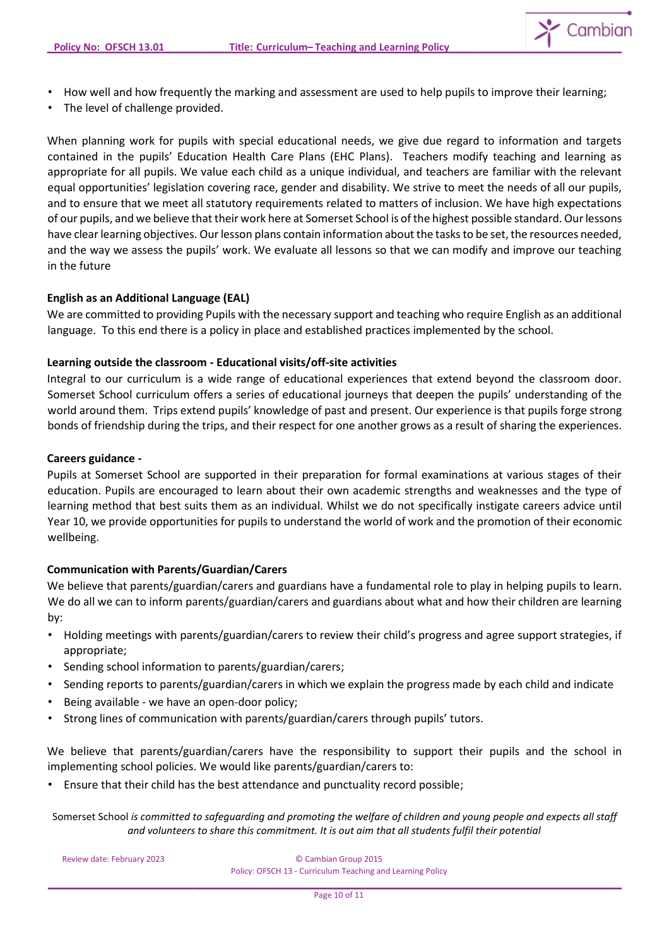

- How well and how frequently the marking and assessment are used to help pupils to improve their learning;
- The level of challenge provided.

When planning work for pupils with special educational needs, we give due regard to information and targets contained in the pupils' Education Health Care Plans (EHC Plans). Teachers modify teaching and learning as appropriate for all pupils. We value each child as a unique individual, and teachers are familiar with the relevant equal opportunities' legislation covering race, gender and disability. We strive to meet the needs of all our pupils, and to ensure that we meet all statutory requirements related to matters of inclusion. We have high expectations of our pupils, and we believe that their work here at Somerset School is of the highest possible standard. Our lessons have clear learning objectives. Our lesson plans contain information about the tasks to be set, the resources needed, and the way we assess the pupils' work. We evaluate all lessons so that we can modify and improve our teaching in the future

# **English as an Additional Language (EAL)**

We are committed to providing Pupils with the necessary support and teaching who require English as an additional language. To this end there is a policy in place and established practices implemented by the school.

# **Learning outside the classroom - Educational visits/off-site activities**

Integral to our curriculum is a wide range of educational experiences that extend beyond the classroom door. Somerset School curriculum offers a series of educational journeys that deepen the pupils' understanding of the world around them. Trips extend pupils' knowledge of past and present. Our experience is that pupils forge strong bonds of friendship during the trips, and their respect for one another grows as a result of sharing the experiences.

### **Careers guidance -**

Pupils at Somerset School are supported in their preparation for formal examinations at various stages of their education. Pupils are encouraged to learn about their own academic strengths and weaknesses and the type of learning method that best suits them as an individual. Whilst we do not specifically instigate careers advice until Year 10, we provide opportunities for pupils to understand the world of work and the promotion of their economic wellbeing.

# **Communication with Parents/Guardian/Carers**

We believe that parents/guardian/carers and guardians have a fundamental role to play in helping pupils to learn. We do all we can to inform parents/guardian/carers and guardians about what and how their children are learning by:

- Holding meetings with parents/guardian/carers to review their child's progress and agree support strategies, if appropriate;
- Sending school information to parents/guardian/carers;
- Sending reports to parents/guardian/carers in which we explain the progress made by each child and indicate
- Being available we have an open-door policy;
- Strong lines of communication with parents/guardian/carers through pupils' tutors.

We believe that parents/guardian/carers have the responsibility to support their pupils and the school in implementing school policies. We would like parents/guardian/carers to:

• Ensure that their child has the best attendance and punctuality record possible;

Somerset School *is committed to safeguarding and promoting the welfare of children and young people and expects all staff and volunteers to share this commitment. It is out aim that all students fulfil their potential*